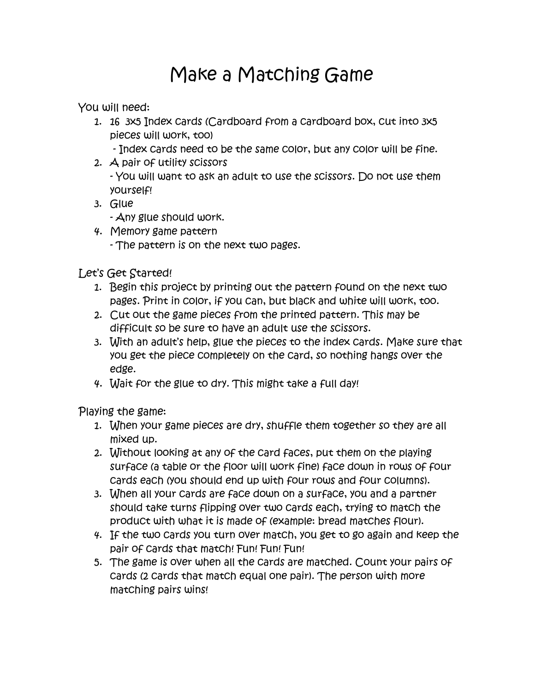## Make a Matching Game

You will need:

- 1. 16 3x5 Index cards (Cardboard from a cardboard box, cut into 3x5 pieces will work, too)
	- Index cards need to be the same color, but any color will be fine.
- 2. A pair of utility scissors - You will want to ask an adult to use the scissors. Do not use them yourself!
- 3. Glue

- Any glue should work.

4. Memory game pattern - The pattern is on the next two pages.

Let's Get Started!

- 1. Begin this project by printing out the pattern found on the next two pages. Print in color, if you can, but black and white will work, too.
- 2. Cut out the game pieces from the printed pattern. This may be difficult so be sure to have an adult use the scissors.
- 3. With an adult's help, glue the pieces to the index cards. Make sure that you get the piece completely on the card, so nothing hangs over the edge.
- 4. Wait for the glue to dry. This might take a full day!

Playing the game:

- 1. When your game pieces are dry, shuffle them together so they are all mixed up.
- 2. Without looking at any of the card faces, put them on the playing surface (a table or the floor will work fine) face down in rows of four cards each (you should end up with four rows and four columns).
- 3. When all your cards are face down on a surface, you and a partner should take turns flipping over two cards each, trying to match the product with what it is made of (example: bread matches flour).
- 4. If the two cards you turn over match, you get to go again and keep the pair of Cards that match! Fun! Fun! Fun!
- 5. The game is over when all the cards are matched. Count your pairs of cards (2 cards that match equal one pair). The person with more matching pairs wins!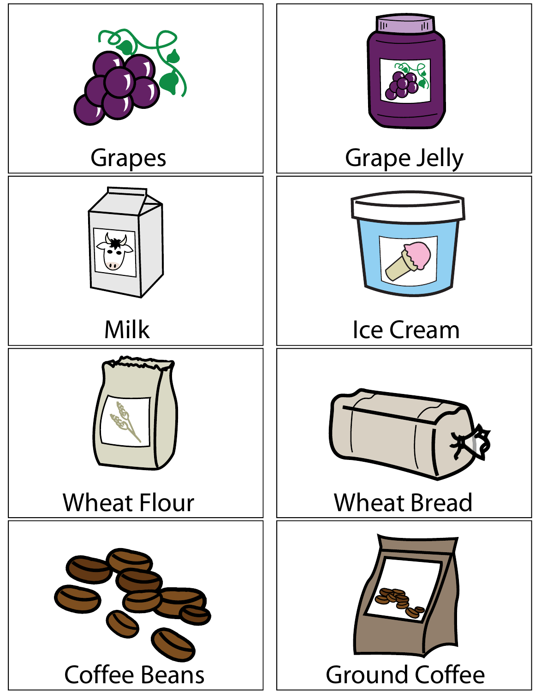